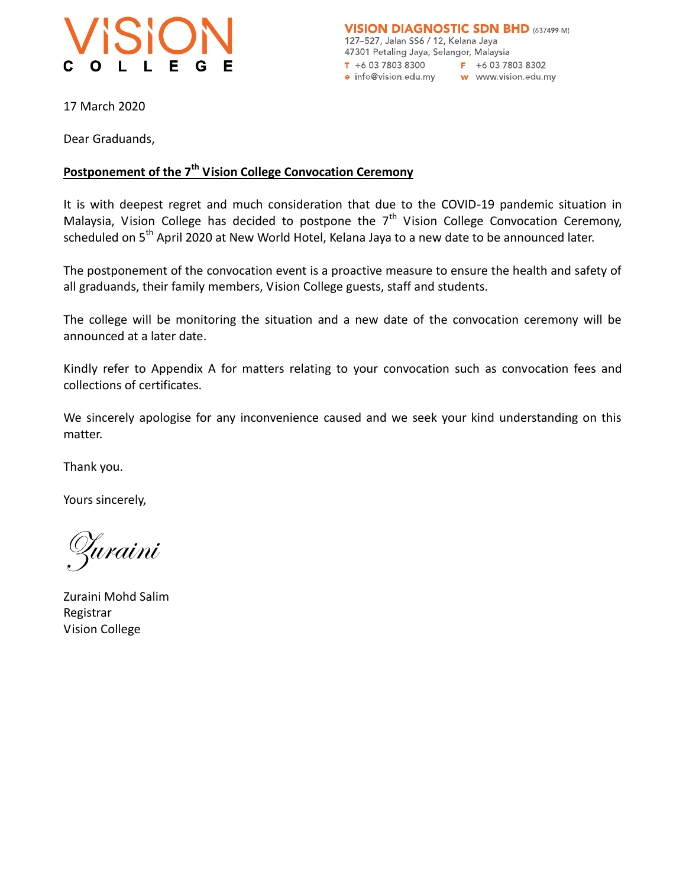

17 March 2020

Dear Graduands,

## **Postponement of the 7th Vision College Convocation Ceremony**

It is with deepest regret and much consideration that due to the COVID-19 pandemic situation in Malaysia, Vision College has decided to postpone the  $7<sup>th</sup>$  Vision College Convocation Ceremony, scheduled on 5<sup>th</sup> April 2020 at New World Hotel, Kelana Jaya to a new date to be announced later.

The postponement of the convocation event is a proactive measure to ensure the health and safety of all graduands, their family members, Vision College guests, staff and students.

The college will be monitoring the situation and a new date of the convocation ceremony will be announced at a later date.

Kindly refer to Appendix A for matters relating to your convocation such as convocation fees and collections of certificates.

We sincerely apologise for any inconvenience caused and we seek your kind understanding on this matter.

Thank you.

Yours sincerely,

Zuraini

Zuraini Mohd Salim Registrar Vision College